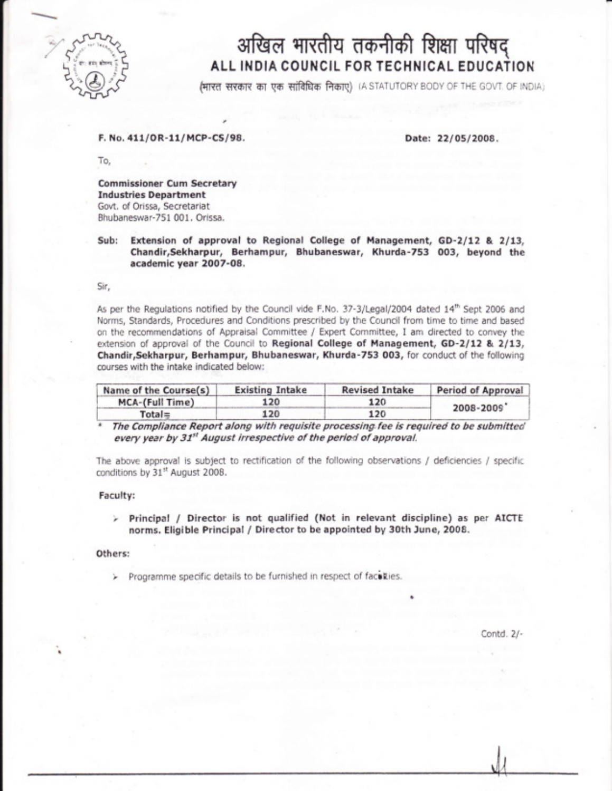

# अखिल भारतीय तकनीकी शिक्षा परिषद् ALL INDIA COUNCIL FOR TECHNICAL EDUCATION

(भारत सरकार का एक सांविधिक निकाए) (A STATUTORY BODY OF THE GOVT. OF INDIA)

## F, No. 411/oR-11/ MCP-CS/98,

Date: 22/05/2008.

To,

Commissioner Cum Secretary Industries Department Govt. of Orissa, Secretariat Bhubaneswar-751 001. Orissa.

Sub: Extension of approval to Regional College of Management, GD-2/12 & 2/13, Chandir, Sekharpur, Berhampur, Bhubaneswar, Khurda-753 003, beyond the academic year 2007-08.

Sir,

As per the Regulations notified by the Council vide F.No. 37-3/Legal/2004 dated 14th Sept 2006 and Norms, Standards, Procedures and Conditions prescribed by the Council from tinre to time and based on the recommendations of Appraisal Committee / Expert Committee, I am directed to convey the extension of approval of the Council to Regional College of Management, GD-2/12 & 2/13, Chandir, Sekharpur, Berhampur, Bhubaneswar, Khurda-753 003, for conduct of the following courses with the intake indicated below:

| Name of the Course(s) | <b>Existing Intake</b> | <b>Revised Intake</b> | Period of Approval |
|-----------------------|------------------------|-----------------------|--------------------|
| MCA-(Full Time)       | 120                    | 120                   | 2008-2009          |
| $Total =$             | 120                    | 120                   |                    |

\* The Compliance Report along with requisite processing fee is required to be submitted every year by 31<sup>st</sup> August irrespective of the period of approval.

The above approval is subject to rectification of the following observations / deficiencies / specific conditions by 31st August 2008.

#### Facu!ty:

 $\triangleright$  Principal / Director is not qualified (Not in relevant discipline) as per AICTE norms. Eligible Principal / Director to be appointed by 30th June, 2008.

## Others:

 $\triangleright$  Programme specific details to be furnished in respect of faculties.

Contd. 2/-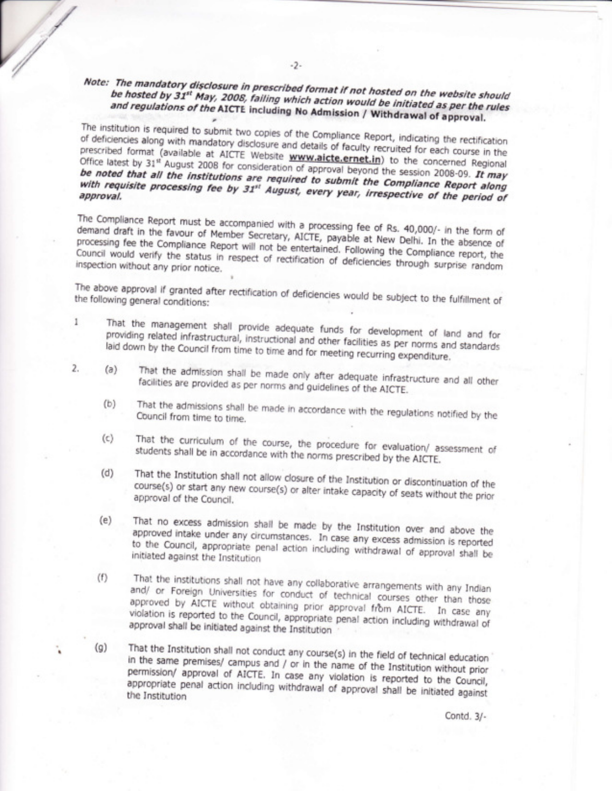# Note: The mandatory disclosure in prescribed format if not hosted on the website should be hosted by 31<sup>st</sup> May, 2008, failing which action would be initiated as per the rules and regulations of the AICTE including No Admission / Withdrawal of approval.

The institution is required to submit two copies of the Compliance Report, indicating the rectification of deficiencies along with mandatory disclosure and details of faculty recruited for each course in the prescribed format (available at AICTE Website www.aicte.ernet.in) to the concerned Regional Office latest by 31st August 2008 for consideration of approval beyond the session 2008-09. It may be noted that all the institutions are required to submit the Compliance Report along with requisite processing fee by 31st August, every year, irrespective of the period of

The Compliance Report must be accompanied with a processing fee of Rs. 40,000/- in the form of demand draft in the favour of Member Secretary, AICTE, payable at New Delhi. In the absence of processing fee the Compliance Report will not be entertained. Following the Compliance report, the Council would verify the status in respect of rectification of deficiencies through surprise random inspection without any prior notice.

The above approval if granted after rectification of deficiencies would be subject to the fulfillment of the following general conditions:

- That the management shall provide adequate funds for development of land and for  $\mathbf{1}$ providing related infrastructural, instructional and other facilities as per norms and standards laid down by the Council from time to time and for meeting recurring expenditure.
	- That the admission shall be made only after adequate infrastructure and all other  $(a)$ facilities are provided as per norms and guidelines of the AICTE.
		- That the admissions shall be made in accordance with the regulations notified by the  $(b)$ Council from time to time.
		- $(c)$ That the curriculum of the course, the procedure for evaluation/ assessment of students shall be in accordance with the norms prescribed by the AICTE.
		- That the Institution shall not allow closure of the Institution or discontinuation of the  $(d)$ course(s) or start any new course(s) or alter intake capacity of seats without the prior approval of the Council.
	- That no excess admission shall be made by the Institution over and above the  $(e)$ approved intake under any circumstances. In case any excess admission is reported to the Council, appropriate penal action including withdrawal of approval shall be initiated against the Institution
	- That the institutions shall not have any collaborative arrangements with any Indian  $(f)$ and/ or Foreign Universities for conduct of technical courses other than those approved by AICTE without obtaining prior approval from AICTE. In case any violation is reported to the Council, appropriate penal action including withdrawal of approval shall be initiated against the Institution
	- That the Institution shall not conduct any course(s) in the field of technical education  $(q)$ in the same premises/ campus and / or in the name of the Institution without prior permission/ approval of AICTE. In case any violation is reported to the Council, appropriate penal action including withdrawal of approval shall be initiated against the Institution

Contd. 3/-

 $2.$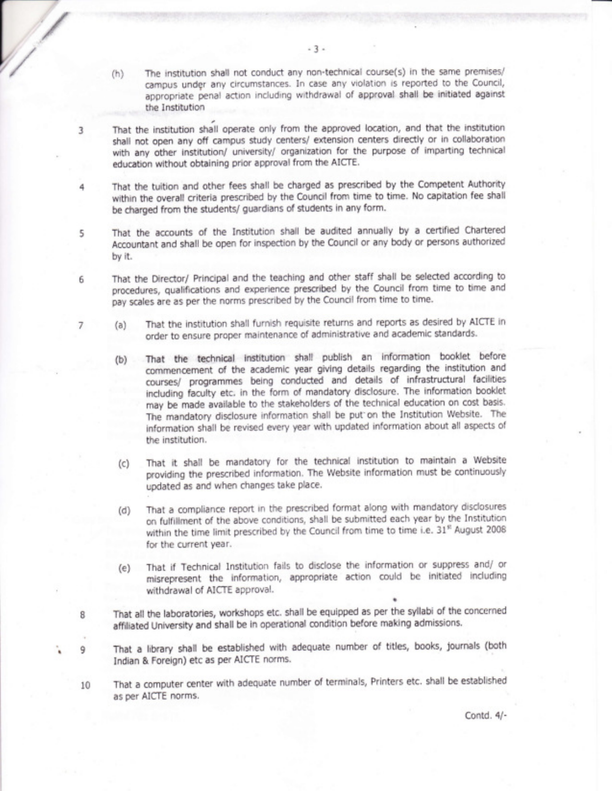- (h) The institution shall not conduct any non-<br>campus under any circumstances. In case (h) The institution shall not conduct any non-technical course(s) in the same premises/ campus undgr any circumstances. In case any violation is reported to the Council, appropriate penal action including withdrawal of approval shall be initiated against the institution
	- That the institution shall operate only from the approved location, and that the institution shall not open any off campus study centers/ extension centers directly or in collaboration with any other institution/ university/ organization for the purpose of imparting technical education without obtaining prior approval from the AICTE.
	- That the tuition and other fees shall be charged as prescribed by the Competent Authority within the overall criteria prescribed by the Council from time to time. No capitation fee shall be charged from the students/ guardians of students in any form.
	- That the accounts of the Institution shall be audited annually by a certified Chartered 5 Accountant and shall be open for inspection by the Council or any body or persons authorized by it,
	- That the Director/ Principal and the teaching and other staff shall be selected according to 6 procedures, qualifrcations and experience prescribed by the Council from time to time and pay scales are as per the norms prescribed by the Council from time to time.
		- (a) That the institution shall furnish requisite returns and reports as desired by AICTE in order to ensure proper maintenance of administrative and academic standards'
			- (b) That the technical institution shall publish an information booklet before commencement of the academic year giving details regarding the institution and courses/ programmes being conducted and details of infrastructural facilities including faculty etc, in the form of mandatory disclosure. The information booklet may be made available to the stakeholders of the technical education on cost basis. The mandatory disclosure information shall be put on the Institution Website. The information shall be revised every year with updated information about all aspects of the institution.
			- (c) That it shall be mandatory for the technical institution to maintain a Website providing the prescribed information. The Website information must be continuously updated as and when changes take place,
			- (d) That a compliance report in the prescribed format along with mandatory disclosures on fulfillment of the above conditions, shall be submitted each year by the Institution within the time limit prescribed by the Council from time to time i.e. 31<sup>st</sup> August 2008 for the current year.
			- (e) That if Technical institution faiis to disclose the information or suppress and/ or misrepresent the information, appropriate action could be initiated including withdrawal of AICTE approval.

+

- That all the laboratories, workshops etc. shall be equipped as per the syllabi of the concerned affiliated University and shall be in operational condition before making admissions.
- That a library shall be established with adequate number of titles, books, journals (both 9 Indian & Foreign) etc as per AICTE norms
- That a computer center with adequate number of terminals, Printers etc. shall be established as per AICTE norms, IU

Contd. 4/-

 $\overline{7}$ 

8

3

4